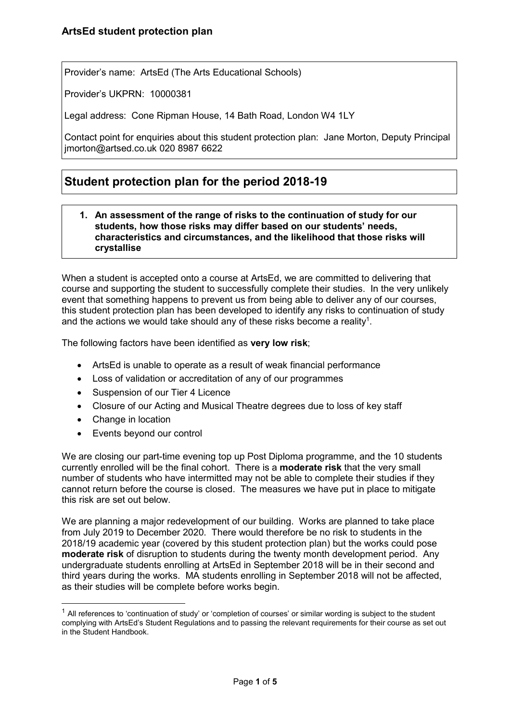Provider's name: ArtsEd (The Arts Educational Schools)

Provider's UKPRN: 10000381

Legal address: Cone Ripman House, 14 Bath Road, London W4 1LY

Contact point for enquiries about this student protection plan: Jane Morton, Deputy Principal jmorton@artsed.co.uk 020 8987 6622

# **Student protection plan for the period 2018-19**

#### **1. An assessment of the range of risks to the continuation of study for our students, how those risks may differ based on our students' needs, characteristics and circumstances, and the likelihood that those risks will crystallise**

When a student is accepted onto a course at ArtsEd, we are committed to delivering that course and supporting the student to successfully complete their studies. In the very unlikely event that something happens to prevent us from being able to deliver any of our courses, this student protection plan has been developed to identify any risks to continuation of study and the actions we would take should any of these risks become a reality<sup>1</sup>.

The following factors have been identified as **very low risk**;

- ArtsEd is unable to operate as a result of weak financial performance
- Loss of validation or accreditation of any of our programmes
- Suspension of our Tier 4 Licence
- Closure of our Acting and Musical Theatre degrees due to loss of key staff
- Change in location

 $\overline{a}$ 

• Events beyond our control

We are closing our part-time evening top up Post Diploma programme, and the 10 students currently enrolled will be the final cohort. There is a **moderate risk** that the very small number of students who have intermitted may not be able to complete their studies if they cannot return before the course is closed. The measures we have put in place to mitigate this risk are set out below.

We are planning a major redevelopment of our building. Works are planned to take place from July 2019 to December 2020. There would therefore be no risk to students in the 2018/19 academic year (covered by this student protection plan) but the works could pose **moderate risk** of disruption to students during the twenty month development period. Any undergraduate students enrolling at ArtsEd in September 2018 will be in their second and third years during the works. MA students enrolling in September 2018 will not be affected, as their studies will be complete before works begin.

 $<sup>1</sup>$  All references to 'continuation of study' or 'completion of courses' or similar wording is subject to the student</sup> complying with ArtsEd's Student Regulations and to passing the relevant requirements for their course as set out in the Student Handbook.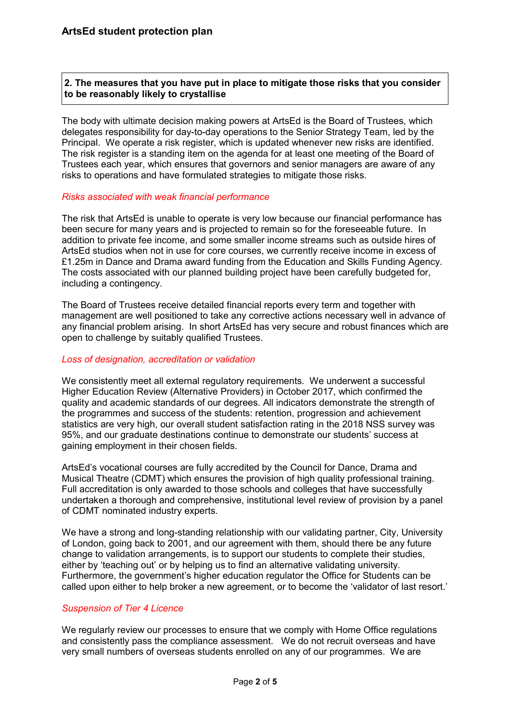## **2. The measures that you have put in place to mitigate those risks that you consider to be reasonably likely to crystallise**

The body with ultimate decision making powers at ArtsEd is the Board of Trustees, which delegates responsibility for day-to-day operations to the Senior Strategy Team, led by the Principal. We operate a risk register, which is updated whenever new risks are identified. The risk register is a standing item on the agenda for at least one meeting of the Board of Trustees each year, which ensures that governors and senior managers are aware of any risks to operations and have formulated strategies to mitigate those risks.

#### *Risks associated with weak financial performance*

The risk that ArtsEd is unable to operate is very low because our financial performance has been secure for many years and is projected to remain so for the foreseeable future. In addition to private fee income, and some smaller income streams such as outside hires of ArtsEd studios when not in use for core courses, we currently receive income in excess of £1.25m in Dance and Drama award funding from the Education and Skills Funding Agency. The costs associated with our planned building project have been carefully budgeted for, including a contingency.

The Board of Trustees receive detailed financial reports every term and together with management are well positioned to take any corrective actions necessary well in advance of any financial problem arising. In short ArtsEd has very secure and robust finances which are open to challenge by suitably qualified Trustees.

#### *Loss of designation, accreditation or validation*

We consistently meet all external requiatory requirements. We underwent a successful Higher Education Review (Alternative Providers) in October 2017, which confirmed the quality and academic standards of our degrees. All indicators demonstrate the strength of the programmes and success of the students: retention, progression and achievement statistics are very high, our overall student satisfaction rating in the 2018 NSS survey was 95%, and our graduate destinations continue to demonstrate our students' success at gaining employment in their chosen fields.

ArtsEd's vocational courses are fully accredited by the Council for Dance, Drama and Musical Theatre (CDMT) which ensures the provision of high quality professional training. Full accreditation is only awarded to those schools and colleges that have successfully undertaken a thorough and comprehensive, institutional level review of provision by a panel of CDMT nominated industry experts.

We have a strong and long-standing relationship with our validating partner, City, University of London, going back to 2001, and our agreement with them, should there be any future change to validation arrangements, is to support our students to complete their studies, either by 'teaching out' or by helping us to find an alternative validating university. Furthermore, the government's higher education regulator the Office for Students can be called upon either to help broker a new agreement, or to become the 'validator of last resort.'

# *Suspension of Tier 4 Licence*

We regularly review our processes to ensure that we comply with Home Office regulations and consistently pass the compliance assessment. We do not recruit overseas and have very small numbers of overseas students enrolled on any of our programmes. We are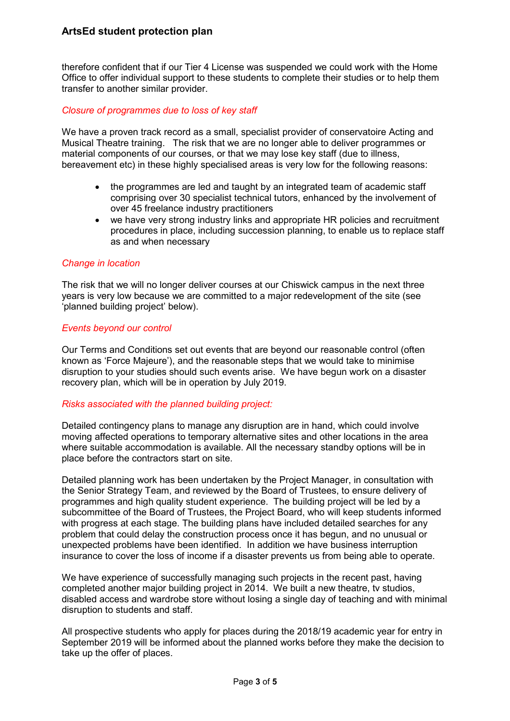# **ArtsEd student protection plan**

therefore confident that if our Tier 4 License was suspended we could work with the Home Office to offer individual support to these students to complete their studies or to help them transfer to another similar provider.

#### *Closure of programmes due to loss of key staff*

We have a proven track record as a small, specialist provider of conservatoire Acting and Musical Theatre training. The risk that we are no longer able to deliver programmes or material components of our courses, or that we may lose key staff (due to illness, bereavement etc) in these highly specialised areas is very low for the following reasons:

- the programmes are led and taught by an integrated team of academic staff comprising over 30 specialist technical tutors, enhanced by the involvement of over 45 freelance industry practitioners
- we have very strong industry links and appropriate HR policies and recruitment procedures in place, including succession planning, to enable us to replace staff as and when necessary

#### *Change in location*

The risk that we will no longer deliver courses at our Chiswick campus in the next three years is very low because we are committed to a major redevelopment of the site (see 'planned building project' below).

#### *Events beyond our control*

Our Terms and Conditions set out events that are beyond our reasonable control (often known as 'Force Majeure'), and the reasonable steps that we would take to minimise disruption to your studies should such events arise. We have begun work on a disaster recovery plan, which will be in operation by July 2019.

#### *Risks associated with the planned building project:*

Detailed contingency plans to manage any disruption are in hand, which could involve moving affected operations to temporary alternative sites and other locations in the area where suitable accommodation is available. All the necessary standby options will be in place before the contractors start on site.

Detailed planning work has been undertaken by the Project Manager, in consultation with the Senior Strategy Team, and reviewed by the Board of Trustees, to ensure delivery of programmes and high quality student experience. The building project will be led by a subcommittee of the Board of Trustees, the Project Board, who will keep students informed with progress at each stage. The building plans have included detailed searches for any problem that could delay the construction process once it has begun, and no unusual or unexpected problems have been identified. In addition we have business interruption insurance to cover the loss of income if a disaster prevents us from being able to operate.

We have experience of successfully managing such projects in the recent past, having completed another major building project in 2014. We built a new theatre, tv studios, disabled access and wardrobe store without losing a single day of teaching and with minimal disruption to students and staff.

All prospective students who apply for places during the 2018/19 academic year for entry in September 2019 will be informed about the planned works before they make the decision to take up the offer of places.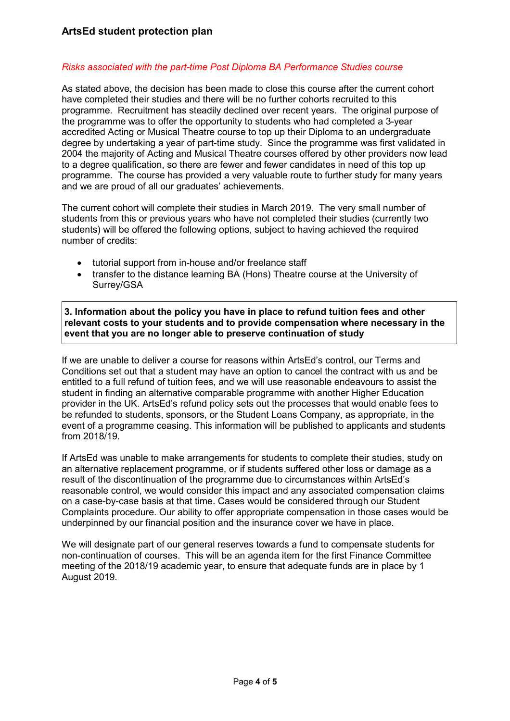# *Risks associated with the part-time Post Diploma BA Performance Studies course*

As stated above, the decision has been made to close this course after the current cohort have completed their studies and there will be no further cohorts recruited to this programme. Recruitment has steadily declined over recent years. The original purpose of the programme was to offer the opportunity to students who had completed a 3-year accredited Acting or Musical Theatre course to top up their Diploma to an undergraduate degree by undertaking a year of part-time study. Since the programme was first validated in 2004 the majority of Acting and Musical Theatre courses offered by other providers now lead to a degree qualification, so there are fewer and fewer candidates in need of this top up programme. The course has provided a very valuable route to further study for many years and we are proud of all our graduates' achievements.

The current cohort will complete their studies in March 2019. The very small number of students from this or previous years who have not completed their studies (currently two students) will be offered the following options, subject to having achieved the required number of credits:

- tutorial support from in-house and/or freelance staff
- transfer to the distance learning BA (Hons) Theatre course at the University of Surrey/GSA

**3. Information about the policy you have in place to refund tuition fees and other relevant costs to your students and to provide compensation where necessary in the event that you are no longer able to preserve continuation of study** 

If we are unable to deliver a course for reasons within ArtsEd's control, our Terms and Conditions set out that a student may have an option to cancel the contract with us and be entitled to a full refund of tuition fees, and we will use reasonable endeavours to assist the student in finding an alternative comparable programme with another Higher Education provider in the UK. ArtsEd's refund policy sets out the processes that would enable fees to be refunded to students, sponsors, or the Student Loans Company, as appropriate, in the event of a programme ceasing. This information will be published to applicants and students from 2018/19.

If ArtsEd was unable to make arrangements for students to complete their studies, study on an alternative replacement programme, or if students suffered other loss or damage as a result of the discontinuation of the programme due to circumstances within ArtsEd's reasonable control, we would consider this impact and any associated compensation claims on a case-by-case basis at that time. Cases would be considered through our Student Complaints procedure. Our ability to offer appropriate compensation in those cases would be underpinned by our financial position and the insurance cover we have in place.

We will designate part of our general reserves towards a fund to compensate students for non-continuation of courses. This will be an agenda item for the first Finance Committee meeting of the 2018/19 academic year, to ensure that adequate funds are in place by 1 August 2019.